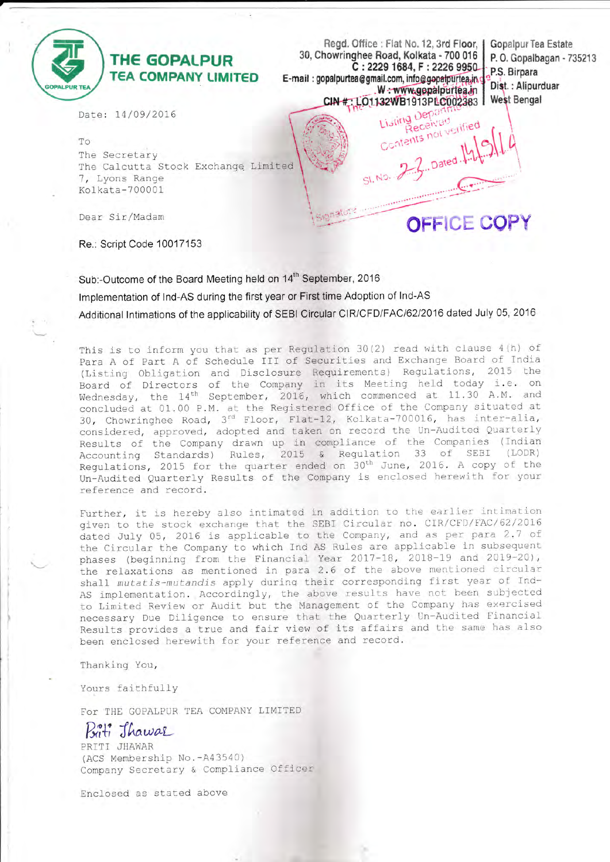

\*

# **THE GOPALPUR TEA COMPANY LIMITED**

Regd. Otfice : FIat No. 12, 3rd Floor, 30, Chowringhee Road, Kolkata - 700 016 C: 2229 1684, F: 2226 9950 E-mail: gopalpurtea@gmail.com, info@gopalpurtea.in W : www.gepalpurtea.in<br>CIN # : LO1132WB1913PLC002383 Listing Depa

Gopalpur Tea Estate P. 0. Gopalbagan - 735213 P.S. Birpara Dist.: Alipurduar **West Bengal** 

OFFICE COPY

 $Dated.\n$ 

Received Listing Derived<br>Received<br>Contents not verified

Date: 14/09/2016

To The Secretary The Calcutta Stock Exchange Limited 7, Lyons Range Kolkata-700001

Dear Sir/Madam

Re.: Script Code 1 0017 153

Sub:-Outcome of the Board Meeting held on 14<sup>th</sup> September, 2016 lmplementation of lnd-AS during the first year or First time Adoption of lnd-AS Additional lntimations of the applicability of SEBI Circular CIR/CFD/FACl62l2016 dated July 05, 2016

This is to inform you that as per Regulation 30(2) read with clause 4(h) of para A of Part A of Schedule III of Securities and Exchange Board of India (Listing Obligation and Disclosure Requirements) Regulations, 2015 the Board of Directors of the Company in its Meeting held today i.e. on Wednesday, the 14<sup>th</sup> September, 2016, which commenced at 11.30 A.M. and concluded at 01.00 P.M. at the Registered Office of the Company sltuated at 30, Chowringhee Road,  $3^{rd}$  Floor, Flat-12, Kolkata-700016, has inter-ali considered, approved, adopted and taken on record the Un-Audited Quarterly Results of the Company drawn up in compliance of the Companies (Indian Accounting Standards) Rules, 2015 & Regulation 33 of SEBI (LODR) Regulations, 2015 for the quarter ended on 30<sup>th</sup> June, 2016. A copy of the Un-Audited Quarterly Results of the Company is enclosed herewith for your reference and record,

Further, it is hereby also intimated in addition to the earlier intimation given to the stock exchange that the SEBI Circular no. CIR/CFD/FAC/62/2016 dated July 05, 2016 is applicable to the Company, and as per para 2.7 of the Circular the Company to which Ind AS Rules are applicable in subsequent phases (beginning from the Financial Year 2017-18, 2018-19 and 2019-20), the relaxations as mentioned in para 2.6 of the above mentioned circular shall mutatis-mutandis apply during their corresponding first year of Ind-AS implementation. Accordingly, the above results have not been subjected to Limited Review or Audit but the Management of the Company has exercised necessary Due Diligence to ensure that the Quarterly Un-Audited Financial Results provides a true and fair view of its affairs and the same has also been enclosed herewith for your reference and record.

Thanking You,

Yours faithfully

FoT THE GOPALPUR TEA COMPANY LIMITED

Briti Thawar

PRITI JHAWAR (ACS Membership No. -A43540) Company Secretary & Compliance Officer

Enclosed as stated above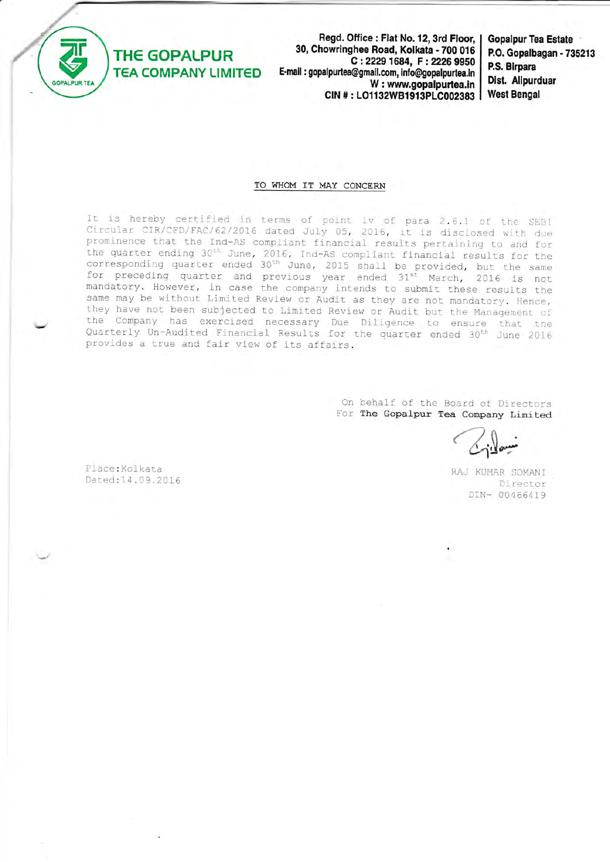

**THE GOPALPUR** 

**TEA COMPANY LIMITED** 

Regd. Office: Flat No. 12, 3rd Floor, 30, Chowringhee Road, Kolkata - 700 016 C: 2229 1684, F: 2226 9950 E-mail : gopalpurtea@gmail.com, info@gopalpurtea.in W: www.gopalpurtea.in CIN #: LO1132WB1913PLC002383

**Gopalpur Tea Estate** P.O. Gopalbagan - 735213 P.S. Birpara Dist. Alipurduar **West Bengal** 

## TO WHOM IT MAY CONCERN

It is hereby certified in terms of point iv of para 2.6.1 of the SEBI Circular CIR/CFD/FAC/62/2016 dated July 05, 2016, it is disclosed with due prominence that the Ind-AS compliant financial results pertaining to and for the quarter ending 30<sup>th</sup> June, 2016, Ind-AS compliant financial results for the corresponding quarter ended 30<sup>th</sup> June, 2015 shall be provided, but the same for preceding quarter and previous year ended 31<sup>st</sup> March, 2016 is not mandatory. However, in case the company intends to submit these results the same may be without Limited Review or Audit as they are not mandatory. Hence, they have not been subjected to Limited Review or Audit but the Management of the Company has exercised necessary Due Diligence to ensure that the<br>Quarterly Un-Audited Financial Results for the quarter ended 30<sup>th</sup> June 2016 provides a true and fair view of its affairs.

> On behalf of the Board of Directors For The Gopalpur Tea Company Limited

Place: Kolkata Dated: 14.09.2016

RAJ KUMAR SOMANI Director DIN- 00466419